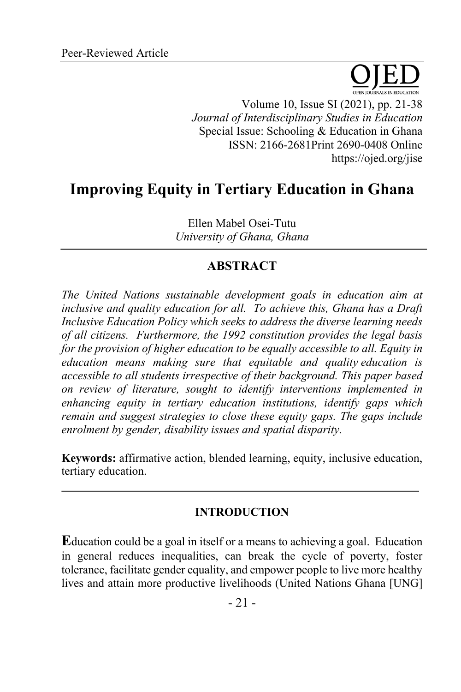Volume 10, Issue SI (2021), pp. 21-38 *Journal of Interdisciplinary Studies in Education* Special Issue: Schooling & Education in Ghana ISSN: 2166-2681Print 2690-0408 Online https://ojed.org/jise

# **Improving Equity in Tertiary Education in Ghana**

Ellen Mabel Osei-Tutu *University of Ghana, Ghana*

## **ABSTRACT**

*The United Nations sustainable development goals in education aim at inclusive and quality education for all. To achieve this, Ghana has a Draft Inclusive Education Policy which seeks to address the diverse learning needs of all citizens. Furthermore, the 1992 constitution provides the legal basis for the provision of higher education to be equally accessible to all. Equity in education means making sure that equitable and quality education is accessible to all students irrespective of their background. This paper based on review of literature, sought to identify interventions implemented in enhancing equity in tertiary education institutions, identify gaps which remain and suggest strategies to close these equity gaps. The gaps include enrolment by gender, disability issues and spatial disparity.* 

**Keywords:** affirmative action, blended learning, equity, inclusive education, tertiary education.

## **INTRODUCTION**

**E**ducation could be a goal in itself or a means to achieving a goal. Education in general reduces inequalities, can break the cycle of poverty, foster tolerance, facilitate gender equality, and empower people to live more healthy lives and attain more productive livelihoods (United Nations Ghana [UNG]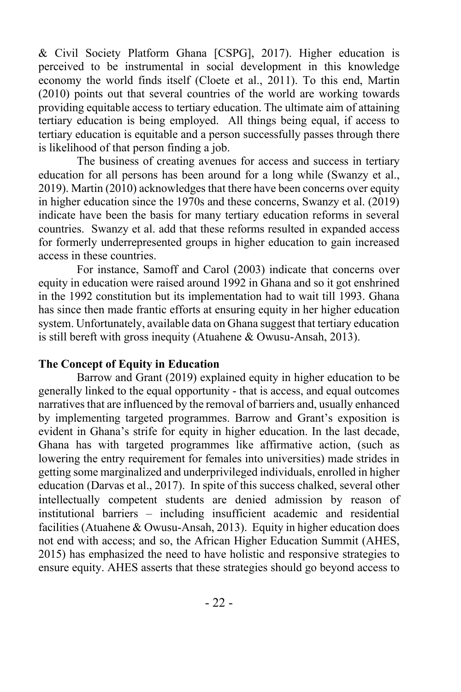& Civil Society Platform Ghana [CSPG], 2017). Higher education is perceived to be instrumental in social development in this knowledge economy the world finds itself (Cloete et al., 2011). To this end, Martin (2010) points out that several countries of the world are working towards providing equitable access to tertiary education. The ultimate aim of attaining tertiary education is being employed. All things being equal, if access to tertiary education is equitable and a person successfully passes through there is likelihood of that person finding a job.

The business of creating avenues for access and success in tertiary education for all persons has been around for a long while (Swanzy et al., 2019). Martin (2010) acknowledges that there have been concerns over equity in higher education since the 1970s and these concerns, Swanzy et al. (2019) indicate have been the basis for many tertiary education reforms in several countries. Swanzy et al. add that these reforms resulted in expanded access for formerly underrepresented groups in higher education to gain increased access in these countries.

For instance, Samoff and Carol (2003) indicate that concerns over equity in education were raised around 1992 in Ghana and so it got enshrined in the 1992 constitution but its implementation had to wait till 1993. Ghana has since then made frantic efforts at ensuring equity in her higher education system. Unfortunately, available data on Ghana suggest that tertiary education is still bereft with gross inequity (Atuahene & Owusu-Ansah, 2013).

#### **The Concept of Equity in Education**

Barrow and Grant (2019) explained equity in higher education to be generally linked to the equal opportunity - that is access, and equal outcomes narratives that are influenced by the removal of barriers and, usually enhanced by implementing targeted programmes. Barrow and Grant's exposition is evident in Ghana's strife for equity in higher education. In the last decade, Ghana has with targeted programmes like affirmative action, (such as lowering the entry requirement for females into universities) made strides in getting some marginalized and underprivileged individuals, enrolled in higher education (Darvas et al., 2017). In spite of this success chalked, several other intellectually competent students are denied admission by reason of institutional barriers – including insufficient academic and residential facilities (Atuahene & Owusu-Ansah, 2013). Equity in higher education does not end with access; and so, the African Higher Education Summit (AHES, 2015) has emphasized the need to have holistic and responsive strategies to ensure equity. AHES asserts that these strategies should go beyond access to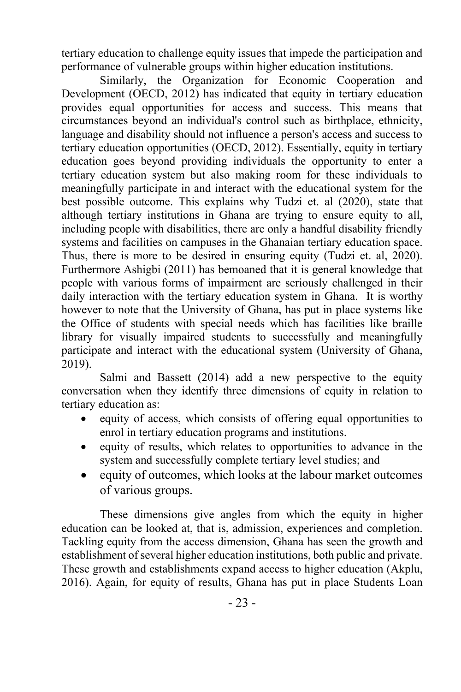tertiary education to challenge equity issues that impede the participation and performance of vulnerable groups within higher education institutions.

Similarly, the Organization for Economic Cooperation and Development (OECD, 2012) has indicated that equity in tertiary education provides equal opportunities for access and success. This means that circumstances beyond an individual's control such as birthplace, ethnicity, language and disability should not influence a person's access and success to tertiary education opportunities (OECD, 2012). Essentially, equity in tertiary education goes beyond providing individuals the opportunity to enter a tertiary education system but also making room for these individuals to meaningfully participate in and interact with the educational system for the best possible outcome. This explains why Tudzi et. al (2020), state that although tertiary institutions in Ghana are trying to ensure equity to all, including people with disabilities, there are only a handful disability friendly systems and facilities on campuses in the Ghanaian tertiary education space. Thus, there is more to be desired in ensuring equity (Tudzi et. al, 2020). Furthermore Ashigbi (2011) has bemoaned that it is general knowledge that people with various forms of impairment are seriously challenged in their daily interaction with the tertiary education system in Ghana. It is worthy however to note that the University of Ghana, has put in place systems like the Office of students with special needs which has facilities like braille library for visually impaired students to successfully and meaningfully participate and interact with the educational system (University of Ghana, 2019).

Salmi and Bassett (2014) add a new perspective to the equity conversation when they identify three dimensions of equity in relation to tertiary education as:

- equity of access, which consists of offering equal opportunities to enrol in tertiary education programs and institutions.
- equity of results, which relates to opportunities to advance in the system and successfully complete tertiary level studies; and
- equity of outcomes, which looks at the labour market outcomes of various groups.

These dimensions give angles from which the equity in higher education can be looked at, that is, admission, experiences and completion. Tackling equity from the access dimension, Ghana has seen the growth and establishment of several higher education institutions, both public and private. These growth and establishments expand access to higher education (Akplu, 2016). Again, for equity of results, Ghana has put in place Students Loan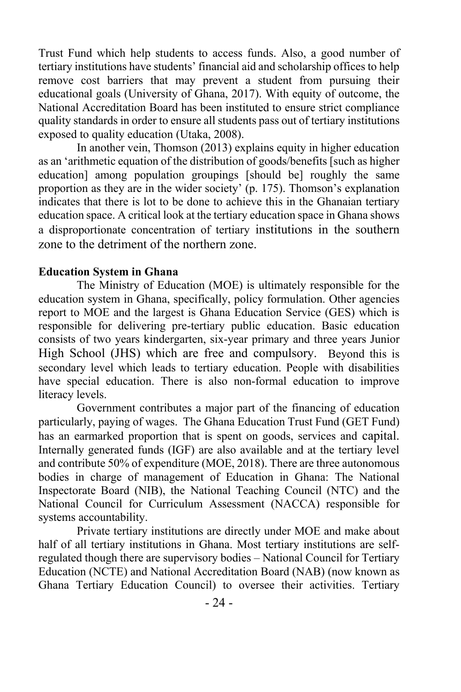Trust Fund which help students to access funds. Also, a good number of tertiary institutions have students' financial aid and scholarship offices to help remove cost barriers that may prevent a student from pursuing their educational goals (University of Ghana, 2017). With equity of outcome, the National Accreditation Board has been instituted to ensure strict compliance quality standards in order to ensure all students pass out of tertiary institutions exposed to quality education (Utaka, 2008).

In another vein, Thomson (2013) explains equity in higher education as an 'arithmetic equation of the distribution of goods/benefits [such as higher education] among population groupings [should be] roughly the same proportion as they are in the wider society' (p. 175). Thomson's explanation indicates that there is lot to be done to achieve this in the Ghanaian tertiary education space. A critical look at the tertiary education space in Ghana shows a disproportionate concentration of tertiary institutions in the southern zone to the detriment of the northern zone.

#### **Education System in Ghana**

The Ministry of Education (MOE) is ultimately responsible for the education system in Ghana, specifically, policy formulation. Other agencies report to MOE and the largest is Ghana Education Service (GES) which is responsible for delivering pre-tertiary public education. Basic education consists of two years kindergarten, six-year primary and three years Junior High School (JHS) which are free and compulsory. Beyond this is secondary level which leads to tertiary education. People with disabilities have special education. There is also non-formal education to improve literacy levels.

Government contributes a major part of the financing of education particularly, paying of wages. The Ghana Education Trust Fund (GET Fund) has an earmarked proportion that is spent on goods, services and capital. Internally generated funds (IGF) are also available and at the tertiary level and contribute 50% of expenditure (MOE, 2018). There are three autonomous bodies in charge of management of Education in Ghana: The National Inspectorate Board (NIB), the National Teaching Council (NTC) and the National Council for Curriculum Assessment (NACCA) responsible for systems accountability.

Private tertiary institutions are directly under MOE and make about half of all tertiary institutions in Ghana. Most tertiary institutions are selfregulated though there are supervisory bodies – National Council for Tertiary Education (NCTE) and National Accreditation Board (NAB) (now known as Ghana Tertiary Education Council) to oversee their activities. Tertiary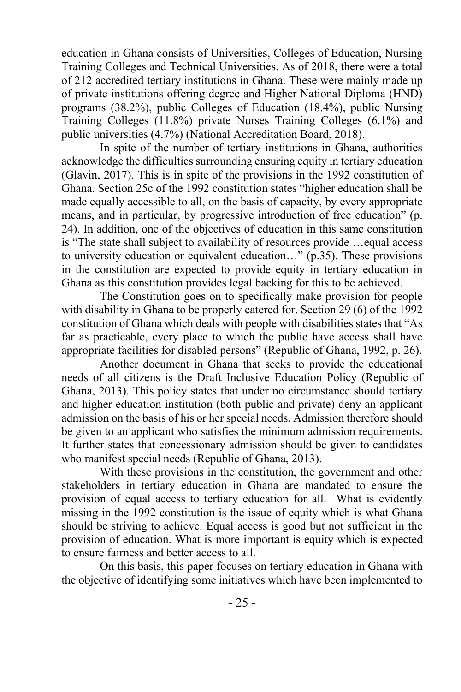education in Ghana consists of Universities, Colleges of Education, Nursing Training Colleges and Technical Universities. As of 2018, there were a total of 212 accredited tertiary institutions in Ghana. These were mainly made up of private institutions offering degree and Higher National Diploma (HND) programs (38.2%), public Colleges of Education (18.4%), public Nursing Training Colleges (11.8%) private Nurses Training Colleges (6.1%) and public universities (4.7%) (National Accreditation Board, 2018).

In spite of the number of tertiary institutions in Ghana, authorities acknowledge the difficulties surrounding ensuring equity in tertiary education (Glavin, 2017). This is in spite of the provisions in the 1992 constitution of Ghana. Section 25c of the 1992 constitution states "higher education shall be made equally accessible to all, on the basis of capacity, by every appropriate means, and in particular, by progressive introduction of free education" (p. 24). In addition, one of the objectives of education in this same constitution is "The state shall subject to availability of resources provide …equal access to university education or equivalent education…" (p.35). These provisions in the constitution are expected to provide equity in tertiary education in Ghana as this constitution provides legal backing for this to be achieved.

The Constitution goes on to specifically make provision for people with disability in Ghana to be properly catered for. Section 29 (6) of the 1992 constitution of Ghana which deals with people with disabilities states that "As far as practicable, every place to which the public have access shall have appropriate facilities for disabled persons" (Republic of Ghana, 1992, p. 26).

Another document in Ghana that seeks to provide the educational needs of all citizens is the Draft Inclusive Education Policy (Republic of Ghana, 2013). This policy states that under no circumstance should tertiary and higher education institution (both public and private) deny an applicant admission on the basis of his or her special needs. Admission therefore should be given to an applicant who satisfies the minimum admission requirements. It further states that concessionary admission should be given to candidates who manifest special needs (Republic of Ghana, 2013).

With these provisions in the constitution, the government and other stakeholders in tertiary education in Ghana are mandated to ensure the provision of equal access to tertiary education for all. What is evidently missing in the 1992 constitution is the issue of equity which is what Ghana should be striving to achieve. Equal access is good but not sufficient in the provision of education. What is more important is equity which is expected to ensure fairness and better access to all.

On this basis, this paper focuses on tertiary education in Ghana with the objective of identifying some initiatives which have been implemented to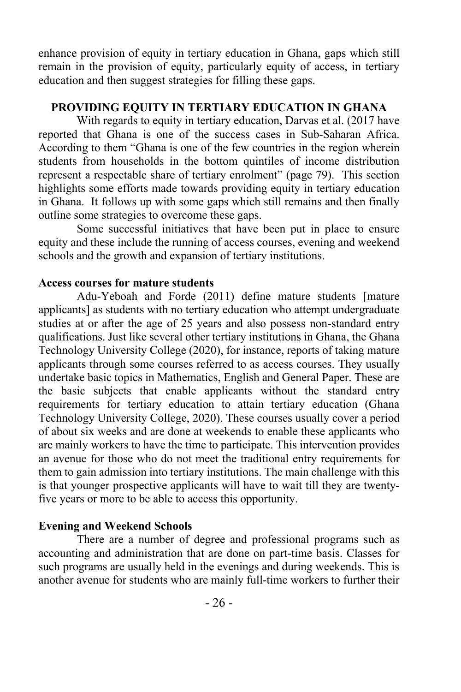enhance provision of equity in tertiary education in Ghana, gaps which still remain in the provision of equity, particularly equity of access, in tertiary education and then suggest strategies for filling these gaps.

## **PROVIDING EQUITY IN TERTIARY EDUCATION IN GHANA**

With regards to equity in tertiary education, Darvas et al. (2017 have reported that Ghana is one of the success cases in Sub-Saharan Africa. According to them "Ghana is one of the few countries in the region wherein students from households in the bottom quintiles of income distribution represent a respectable share of tertiary enrolment" (page 79). This section highlights some efforts made towards providing equity in tertiary education in Ghana. It follows up with some gaps which still remains and then finally outline some strategies to overcome these gaps.

Some successful initiatives that have been put in place to ensure equity and these include the running of access courses, evening and weekend schools and the growth and expansion of tertiary institutions.

## **Access courses for mature students**

Adu-Yeboah and Forde (2011) define mature students [mature applicants] as students with no tertiary education who attempt undergraduate studies at or after the age of 25 years and also possess non-standard entry qualifications. Just like several other tertiary institutions in Ghana, the Ghana Technology University College (2020), for instance, reports of taking mature applicants through some courses referred to as access courses. They usually undertake basic topics in Mathematics, English and General Paper. These are the basic subjects that enable applicants without the standard entry requirements for tertiary education to attain tertiary education (Ghana Technology University College, 2020). These courses usually cover a period of about six weeks and are done at weekends to enable these applicants who are mainly workers to have the time to participate. This intervention provides an avenue for those who do not meet the traditional entry requirements for them to gain admission into tertiary institutions. The main challenge with this is that younger prospective applicants will have to wait till they are twentyfive years or more to be able to access this opportunity.

## **Evening and Weekend Schools**

There are a number of degree and professional programs such as accounting and administration that are done on part-time basis. Classes for such programs are usually held in the evenings and during weekends. This is another avenue for students who are mainly full-time workers to further their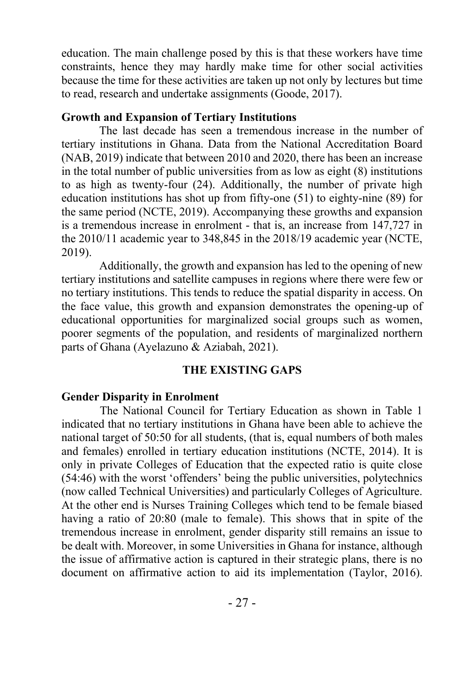education. The main challenge posed by this is that these workers have time constraints, hence they may hardly make time for other social activities because the time for these activities are taken up not only by lectures but time to read, research and undertake assignments (Goode, 2017).

#### **Growth and Expansion of Tertiary Institutions**

The last decade has seen a tremendous increase in the number of tertiary institutions in Ghana. Data from the National Accreditation Board (NAB, 2019) indicate that between 2010 and 2020, there has been an increase in the total number of public universities from as low as eight (8) institutions to as high as twenty-four (24). Additionally, the number of private high education institutions has shot up from fifty-one (51) to eighty-nine (89) for the same period (NCTE, 2019). Accompanying these growths and expansion is a tremendous increase in enrolment - that is, an increase from 147,727 in the 2010/11 academic year to 348,845 in the 2018/19 academic year (NCTE, 2019).

Additionally, the growth and expansion has led to the opening of new tertiary institutions and satellite campuses in regions where there were few or no tertiary institutions. This tends to reduce the spatial disparity in access. On the face value, this growth and expansion demonstrates the opening-up of educational opportunities for marginalized social groups such as women, poorer segments of the population, and residents of marginalized northern parts of Ghana (Ayelazuno & Aziabah, 2021).

#### **THE EXISTING GAPS**

#### **Gender Disparity in Enrolment**

The National Council for Tertiary Education as shown in Table 1 indicated that no tertiary institutions in Ghana have been able to achieve the national target of 50:50 for all students, (that is, equal numbers of both males and females) enrolled in tertiary education institutions (NCTE, 2014). It is only in private Colleges of Education that the expected ratio is quite close (54:46) with the worst 'offenders' being the public universities, polytechnics (now called Technical Universities) and particularly Colleges of Agriculture. At the other end is Nurses Training Colleges which tend to be female biased having a ratio of 20:80 (male to female). This shows that in spite of the tremendous increase in enrolment, gender disparity still remains an issue to be dealt with. Moreover, in some Universities in Ghana for instance, although the issue of affirmative action is captured in their strategic plans, there is no document on affirmative action to aid its implementation (Taylor, 2016).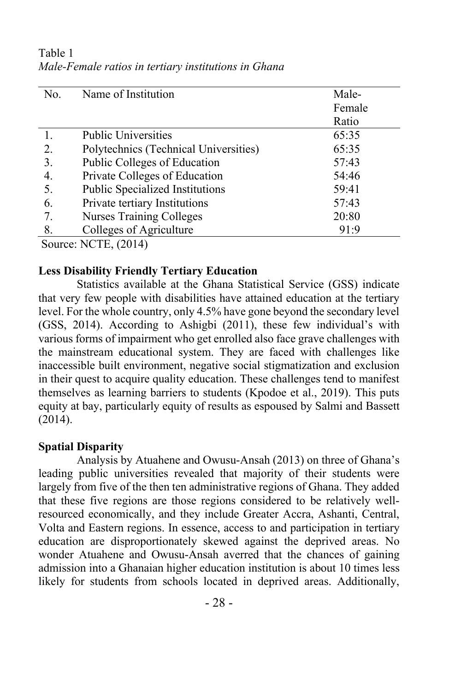No. Name of Institution Male-Female Ratio 1. Public Universities 65:35 2. Polytechnics (Technical Universities) 65:35 3. Public Colleges of Education 57:43 4. Private Colleges of Education 54:46 5. Public Specialized Institutions 59:41 6. Private tertiary Institutions 57:43 7. Nurses Training Colleges 20:80 8. Colleges of Agriculture 91:9

Table 1 *Male-Female ratios in tertiary institutions in Ghana*

Source: NCTE, (2014)

## **Less Disability Friendly Tertiary Education**

Statistics available at the Ghana Statistical Service (GSS) indicate that very few people with disabilities have attained education at the tertiary level. For the whole country, only 4.5% have gone beyond the secondary level (GSS, 2014). According to Ashigbi (2011), these few individual's with various forms of impairment who get enrolled also face grave challenges with the mainstream educational system. They are faced with challenges like inaccessible built environment, negative social stigmatization and exclusion in their quest to acquire quality education. These challenges tend to manifest themselves as learning barriers to students (Kpodoe et al., 2019). This puts equity at bay, particularly equity of results as espoused by Salmi and Bassett (2014).

## **Spatial Disparity**

Analysis by Atuahene and Owusu-Ansah (2013) on three of Ghana's leading public universities revealed that majority of their students were largely from five of the then ten administrative regions of Ghana. They added that these five regions are those regions considered to be relatively wellresourced economically, and they include Greater Accra, Ashanti, Central, Volta and Eastern regions. In essence, access to and participation in tertiary education are disproportionately skewed against the deprived areas. No wonder Atuahene and Owusu-Ansah averred that the chances of gaining admission into a Ghanaian higher education institution is about 10 times less likely for students from schools located in deprived areas. Additionally,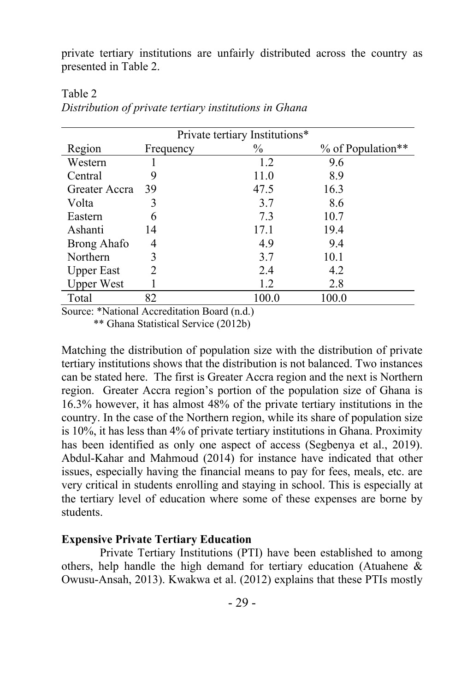private tertiary institutions are unfairly distributed across the country as presented in Table 2.

|                   |           | Private tertiary Institutions* |       |                   |
|-------------------|-----------|--------------------------------|-------|-------------------|
| Region            | Frequency | $\%$                           |       | % of Population** |
| Western           |           | 1.2                            | 9.6   |                   |
| Central           | 9         | 11.0                           | 8.9   |                   |
| Greater Accra     | 39        | 47.5                           | 16.3  |                   |
| Volta             | 3         | 3.7                            | 8.6   |                   |
| Eastern           | 6         | 7.3                            | 10.7  |                   |
| Ashanti           | 14        | 17.1                           | 19.4  |                   |
| Brong Ahafo       | 4         | 4.9                            | 9.4   |                   |
| Northern          | 3         | 3.7                            | 10.1  |                   |
| <b>Upper East</b> | 2         | 2.4                            | 4.2   |                   |
| <b>Upper West</b> |           | 1.2                            | 2.8   |                   |
| Total             | 82        | 100.0                          | 100.0 |                   |

Table 2 *Distribution of private tertiary institutions in Ghana*

Source: \*National Accreditation Board (n.d.)

\*\* Ghana Statistical Service (2012b)

Matching the distribution of population size with the distribution of private tertiary institutions shows that the distribution is not balanced. Two instances can be stated here. The first is Greater Accra region and the next is Northern region. Greater Accra region's portion of the population size of Ghana is 16.3% however, it has almost 48% of the private tertiary institutions in the country. In the case of the Northern region, while its share of population size is 10%, it has less than 4% of private tertiary institutions in Ghana. Proximity has been identified as only one aspect of access (Segbenya et al., 2019). Abdul-Kahar and Mahmoud (2014) for instance have indicated that other issues, especially having the financial means to pay for fees, meals, etc. are very critical in students enrolling and staying in school. This is especially at the tertiary level of education where some of these expenses are borne by students.

## **Expensive Private Tertiary Education**

Private Tertiary Institutions (PTI) have been established to among others, help handle the high demand for tertiary education (Atuahene  $\&$ Owusu-Ansah, 2013). Kwakwa et al. (2012) explains that these PTIs mostly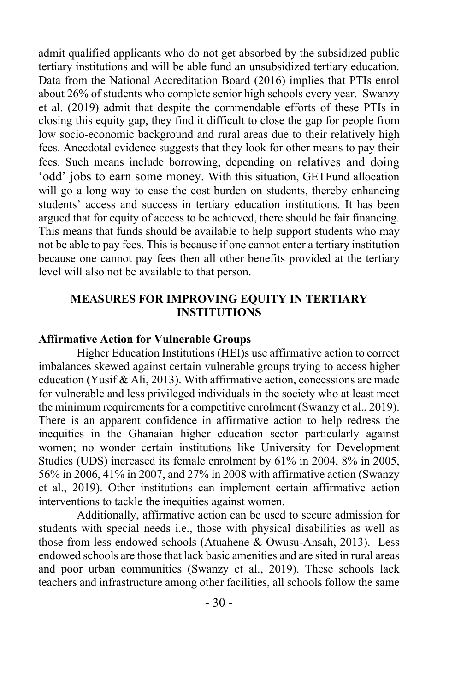admit qualified applicants who do not get absorbed by the subsidized public tertiary institutions and will be able fund an unsubsidized tertiary education. Data from the National Accreditation Board (2016) implies that PTIs enrol about 26% of students who complete senior high schools every year. Swanzy et al. (2019) admit that despite the commendable efforts of these PTIs in closing this equity gap, they find it difficult to close the gap for people from low socio-economic background and rural areas due to their relatively high fees. Anecdotal evidence suggests that they look for other means to pay their fees. Such means include borrowing, depending on relatives and doing 'odd' jobs to earn some money. With this situation, GETFund allocation will go a long way to ease the cost burden on students, thereby enhancing students' access and success in tertiary education institutions. It has been argued that for equity of access to be achieved, there should be fair financing. This means that funds should be available to help support students who may not be able to pay fees. This is because if one cannot enter a tertiary institution because one cannot pay fees then all other benefits provided at the tertiary level will also not be available to that person.

## **MEASURES FOR IMPROVING EQUITY IN TERTIARY INSTITUTIONS**

#### **Affirmative Action for Vulnerable Groups**

Higher Education Institutions (HEI)s use affirmative action to correct imbalances skewed against certain vulnerable groups trying to access higher education (Yusif & Ali, 2013). With affirmative action, concessions are made for vulnerable and less privileged individuals in the society who at least meet the minimum requirements for a competitive enrolment (Swanzy et al., 2019). There is an apparent confidence in affirmative action to help redress the inequities in the Ghanaian higher education sector particularly against women; no wonder certain institutions like University for Development Studies (UDS) increased its female enrolment by 61% in 2004, 8% in 2005, 56% in 2006, 41% in 2007, and 27% in 2008 with affirmative action (Swanzy et al., 2019). Other institutions can implement certain affirmative action interventions to tackle the inequities against women.

Additionally, affirmative action can be used to secure admission for students with special needs i.e., those with physical disabilities as well as those from less endowed schools (Atuahene & Owusu-Ansah, 2013). Less endowed schools are those that lack basic amenities and are sited in rural areas and poor urban communities (Swanzy et al., 2019). These schools lack teachers and infrastructure among other facilities, all schools follow the same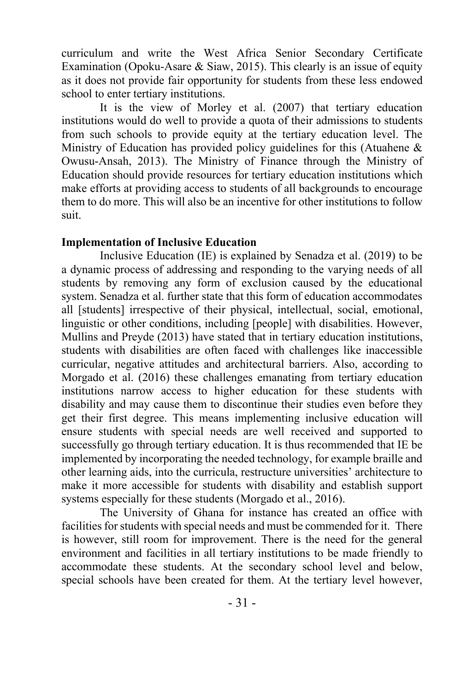curriculum and write the West Africa Senior Secondary Certificate Examination (Opoku-Asare & Siaw, 2015). This clearly is an issue of equity as it does not provide fair opportunity for students from these less endowed school to enter tertiary institutions.

It is the view of Morley et al. (2007) that tertiary education institutions would do well to provide a quota of their admissions to students from such schools to provide equity at the tertiary education level. The Ministry of Education has provided policy guidelines for this (Atuahene & Owusu-Ansah, 2013). The Ministry of Finance through the Ministry of Education should provide resources for tertiary education institutions which make efforts at providing access to students of all backgrounds to encourage them to do more. This will also be an incentive for other institutions to follow suit.

## **Implementation of Inclusive Education**

Inclusive Education (IE) is explained by Senadza et al. (2019) to be a dynamic process of addressing and responding to the varying needs of all students by removing any form of exclusion caused by the educational system. Senadza et al. further state that this form of education accommodates all [students] irrespective of their physical, intellectual, social, emotional, linguistic or other conditions, including [people] with disabilities. However, Mullins and Preyde (2013) have stated that in tertiary education institutions, students with disabilities are often faced with challenges like inaccessible curricular, negative attitudes and architectural barriers. Also, according to Morgado et al. (2016) these challenges emanating from tertiary education institutions narrow access to higher education for these students with disability and may cause them to discontinue their studies even before they get their first degree. This means implementing inclusive education will ensure students with special needs are well received and supported to successfully go through tertiary education. It is thus recommended that IE be implemented by incorporating the needed technology, for example braille and other learning aids, into the curricula, restructure universities' architecture to make it more accessible for students with disability and establish support systems especially for these students (Morgado et al., 2016).

The University of Ghana for instance has created an office with facilities for students with special needs and must be commended for it. There is however, still room for improvement. There is the need for the general environment and facilities in all tertiary institutions to be made friendly to accommodate these students. At the secondary school level and below, special schools have been created for them. At the tertiary level however,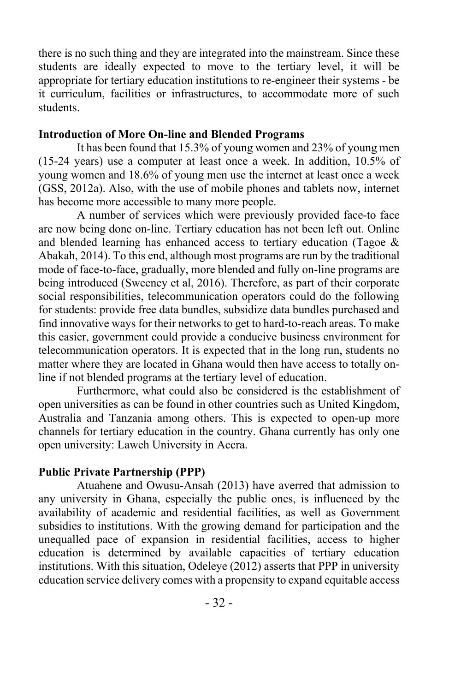there is no such thing and they are integrated into the mainstream. Since these students are ideally expected to move to the tertiary level, it will be appropriate for tertiary education institutions to re-engineer their systems - be it curriculum, facilities or infrastructures, to accommodate more of such students.

#### **Introduction of More On-line and Blended Programs**

It has been found that 15.3% of young women and 23% of young men (15-24 years) use a computer at least once a week. In addition, 10.5% of young women and 18.6% of young men use the internet at least once a week (GSS, 2012a). Also, with the use of mobile phones and tablets now, internet has become more accessible to many more people.

A number of services which were previously provided face-to face are now being done on-line. Tertiary education has not been left out. Online and blended learning has enhanced access to tertiary education (Tagoe & Abakah, 2014). To this end, although most programs are run by the traditional mode of face-to-face, gradually, more blended and fully on-line programs are being introduced (Sweeney et al, 2016). Therefore, as part of their corporate social responsibilities, telecommunication operators could do the following for students: provide free data bundles, subsidize data bundles purchased and find innovative ways for their networks to get to hard-to-reach areas. To make this easier, government could provide a conducive business environment for telecommunication operators. It is expected that in the long run, students no matter where they are located in Ghana would then have access to totally online if not blended programs at the tertiary level of education.

Furthermore, what could also be considered is the establishment of open universities as can be found in other countries such as United Kingdom, Australia and Tanzania among others. This is expected to open-up more channels for tertiary education in the country. Ghana currently has only one open university: Laweh University in Accra.

## **Public Private Partnership (PPP)**

Atuahene and Owusu-Ansah (2013) have averred that admission to any university in Ghana, especially the public ones, is influenced by the availability of academic and residential facilities, as well as Government subsidies to institutions. With the growing demand for participation and the unequalled pace of expansion in residential facilities, access to higher education is determined by available capacities of tertiary education institutions. With this situation, Odeleye (2012) asserts that PPP in university education service delivery comes with a propensity to expand equitable access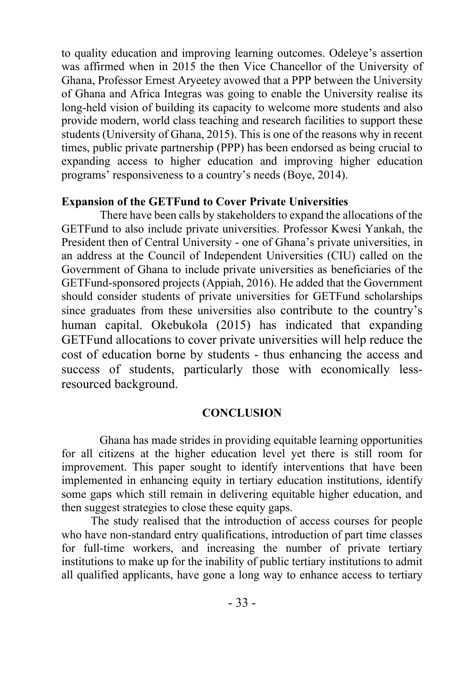to quality education and improving learning outcomes. Odeleye's assertion was affirmed when in 2015 the then Vice Chancellor of the University of Ghana, Professor Ernest Aryeetey avowed that a PPP between the University of Ghana and Africa Integras was going to enable the University realise its long-held vision of building its capacity to welcome more students and also provide modern, world class teaching and research facilities to support these students (University of Ghana, 2015). This is one of the reasons why in recent times, public private partnership (PPP) has been endorsed as being crucial to expanding access to higher education and improving higher education programs' responsiveness to a country's needs (Boye, 2014).

#### **Expansion of the GETFund to Cover Private Universities**

There have been calls by stakeholders to expand the allocations of the GETFund to also include private universities. Professor Kwesi Yankah, the President then of Central University - one of Ghana's private universities, in an address at the Council of Independent Universities (CIU) called on the Government of Ghana to include private universities as beneficiaries of the GETFund-sponsored projects (Appiah, 2016). He added that the Government should consider students of private universities for GETFund scholarships since graduates from these universities also contribute to the country's human capital. Okebukola (2015) has indicated that expanding GETFund allocations to cover private universities will help reduce the cost of education borne by students - thus enhancing the access and success of students, particularly those with economically lessresourced background.

#### **CONCLUSION**

 Ghana has made strides in providing equitable learning opportunities for all citizens at the higher education level yet there is still room for improvement. This paper sought to identify interventions that have been implemented in enhancing equity in tertiary education institutions, identify some gaps which still remain in delivering equitable higher education, and then suggest strategies to close these equity gaps.

 The study realised that the introduction of access courses for people who have non-standard entry qualifications, introduction of part time classes for full-time workers, and increasing the number of private tertiary institutions to make up for the inability of public tertiary institutions to admit all qualified applicants, have gone a long way to enhance access to tertiary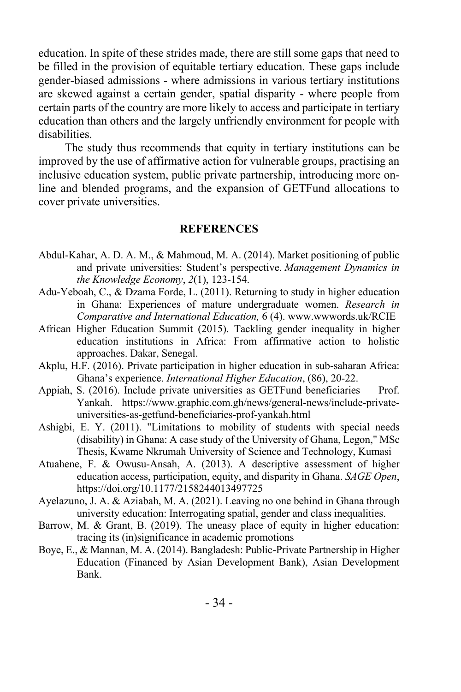education. In spite of these strides made, there are still some gaps that need to be filled in the provision of equitable tertiary education. These gaps include gender-biased admissions - where admissions in various tertiary institutions are skewed against a certain gender, spatial disparity - where people from certain parts of the country are more likely to access and participate in tertiary education than others and the largely unfriendly environment for people with disabilities.

 The study thus recommends that equity in tertiary institutions can be improved by the use of affirmative action for vulnerable groups, practising an inclusive education system, public private partnership, introducing more online and blended programs, and the expansion of GETFund allocations to cover private universities.

#### **REFERENCES**

- Abdul-Kahar, A. D. A. M., & Mahmoud, M. A. (2014). Market positioning of public and private universities: Student's perspective. *Management Dynamics in the Knowledge Economy*, *2*(1), 123-154.
- Adu-Yeboah, C., & Dzama Forde, L. (2011). Returning to study in higher education in Ghana: Experiences of mature undergraduate women. *Research in Comparative and International Education,* 6 (4). www.wwwords.uk/RCIE
- African Higher Education Summit (2015). Tackling gender inequality in higher education institutions in Africa: From affirmative action to holistic approaches. Dakar, Senegal.
- Akplu, H.F. (2016). Private participation in higher education in sub-saharan Africa: Ghana's experience. *International Higher Education*, (86), 20-22.
- Appiah, S. (2016). Include private universities as GETFund beneficiaries Prof. Yankah. https://www.graphic.com.gh/news/general-news/include-privateuniversities-as-getfund-beneficiaries-prof-yankah.html
- Ashigbi, E. Y. (2011). "Limitations to mobility of students with special needs (disability) in Ghana: A case study of the University of Ghana, Legon," MSc Thesis, Kwame Nkrumah University of Science and Technology, Kumasi
- Atuahene, F. & Owusu-Ansah, A. (2013). A descriptive assessment of higher education access, participation, equity, and disparity in Ghana. *SAGE Open*, https://doi.org/10.1177/2158244013497725
- Ayelazuno, J. A. & Aziabah, M. A. (2021). Leaving no one behind in Ghana through university education: Interrogating spatial, gender and class inequalities.
- Barrow, M. & Grant, B. (2019). The uneasy place of equity in higher education: tracing its (in)significance in academic promotions
- Boye, E., & Mannan, M. A. (2014). Bangladesh: Public-Private Partnership in Higher Education (Financed by Asian Development Bank), Asian Development Bank.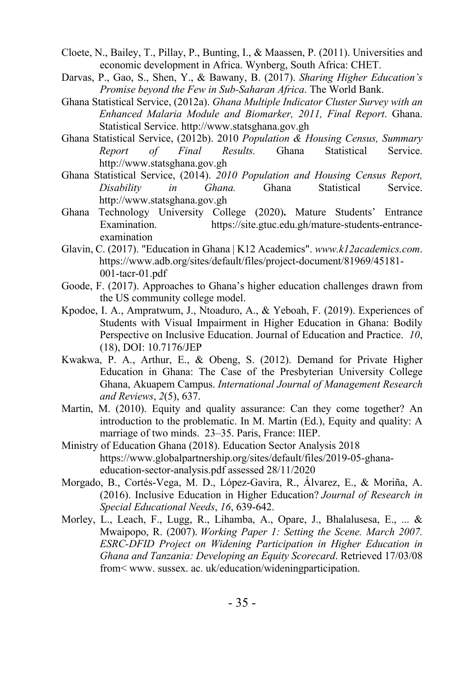- Cloete, N., Bailey, T., Pillay, P., Bunting, I., & Maassen, P. (2011). Universities and economic development in Africa. Wynberg, South Africa: CHET.
- Darvas, P., Gao, S., Shen, Y., & Bawany, B. (2017). *Sharing Higher Education's Promise beyond the Few in Sub-Saharan Africa*. The World Bank.
- Ghana Statistical Service, (2012a). *Ghana Multiple Indicator Cluster Survey with an Enhanced Malaria Module and Biomarker, 2011, Final Report*. Ghana. Statistical Service. http://www.statsghana.gov.gh
- Ghana Statistical Service, (2012b). 2010 *Population & Housing Census, Summary Report of Final Results.* Ghana Statistical Service. http://www.statsghana.gov.gh
- Ghana Statistical Service, (2014). *2010 Population and Housing Census Report, Disability in Ghana.* Ghana Statistical Service. http://www.statsghana.gov.gh
- Ghana Technology University College (2020)**.** Mature Students' Entrance Examination. https://site.gtuc.edu.gh/mature-students-entranceexamination
- Glavin, C. (2017). "Education in Ghana | K12 Academics". *www.k12academics.com*. https://www.adb.org/sites/default/files/project-document/81969/45181- 001-tacr-01.pdf
- Goode, F. (2017). Approaches to Ghana's higher education challenges drawn from the US community college model.
- Kpodoe, I. A., Ampratwum, J., Ntoaduro, A., & Yeboah, F. (2019). Experiences of Students with Visual Impairment in Higher Education in Ghana: Bodily Perspective on Inclusive Education. Journal of Education and Practice. *10*, (18), DOI: 10.7176/JEP
- Kwakwa, P. A., Arthur, E., & Obeng, S. (2012). Demand for Private Higher Education in Ghana: The Case of the Presbyterian University College Ghana, Akuapem Campus. *International Journal of Management Research and Reviews*, *2*(5), 637.
- Martin, M. (2010). Equity and quality assurance: Can they come together? An introduction to the problematic. In M. Martin (Ed.), Equity and quality: A marriage of two minds. 23–35. Paris, France: IIEP.
- Ministry of Education Ghana (2018). Education Sector Analysis 2018 https://www.globalpartnership.org/sites/default/files/2019-05-ghanaeducation-sector-analysis.pdf assessed 28/11/2020
- Morgado, B., Cortés‐Vega, M. D., López‐Gavira, R., Álvarez, E., & Moriña, A. (2016). Inclusive Education in Higher Education? *Journal of Research in Special Educational Needs*, *16*, 639-642.
- Morley, L., Leach, F., Lugg, R., Lihamba, A., Opare, J., Bhalalusesa, E., ... & Mwaipopo, R. (2007). *Working Paper 1: Setting the Scene. March 2007. ESRC-DFID Project on Widening Participation in Higher Education in Ghana and Tanzania: Developing an Equity Scorecard*. Retrieved 17/03/08 from< www. sussex. ac. uk/education/wideningparticipation.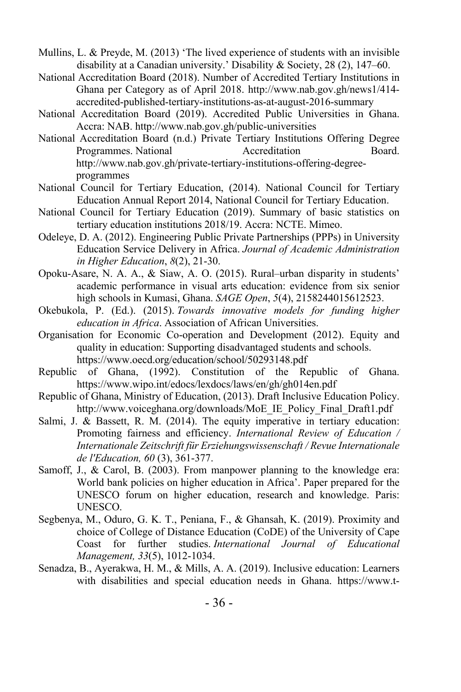- Mullins, L. & Preyde, M. (2013) 'The lived experience of students with an invisible disability at a Canadian university.' Disability & Society, 28 (2), 147–60.
- National Accreditation Board (2018). Number of Accredited Tertiary Institutions in Ghana per Category as of April 2018. http://www.nab.gov.gh/news1/414 accredited-published-tertiary-institutions-as-at-august-2016-summary
- National Accreditation Board (2019). Accredited Public Universities in Ghana. Accra: NAB. http://www.nab.gov.gh/public-universities
- National Accreditation Board (n.d.) Private Tertiary Institutions Offering Degree Programmes. National **Accreditation** Board. http://www.nab.gov.gh/private-tertiary-institutions-offering-degreeprogrammes
- National Council for Tertiary Education, (2014). National Council for Tertiary Education Annual Report 2014, National Council for Tertiary Education.
- National Council for Tertiary Education (2019). Summary of basic statistics on tertiary education institutions 2018/19. Accra: NCTE. Mimeo.
- Odeleye, D. A. (2012). Engineering Public Private Partnerships (PPPs) in University Education Service Delivery in Africa. *Journal of Academic Administration in Higher Education*, *8*(2), 21-30.
- Opoku-Asare, N. A. A., & Siaw, A. O. (2015). Rural–urban disparity in students' academic performance in visual arts education: evidence from six senior high schools in Kumasi, Ghana. *SAGE Open*, *5*(4), 2158244015612523.
- Okebukola, P. (Ed.). (2015). *Towards innovative models for funding higher education in Africa*. Association of African Universities.
- Organisation for Economic Co-operation and Development (2012). Equity and quality in education: Supporting disadvantaged students and schools. https://www.oecd.org/education/school/50293148.pdf
- Republic of Ghana, (1992). Constitution of the Republic of Ghana. https://www.wipo.int/edocs/lexdocs/laws/en/gh/gh014en.pdf
- Republic of Ghana, Ministry of Education, (2013). Draft Inclusive Education Policy. http://www.voiceghana.org/downloads/MoE\_IE\_Policy\_Final\_Draft1.pdf
- Salmi, J. & Bassett, R. M. (2014). The equity imperative in tertiary education: Promoting fairness and efficiency. *International Review of Education / Internationale Zeitschrift für Erziehungswissenschaft / Revue Internationale de l'Education, 60* (3), 361-377.
- Samoff, J., & Carol, B. (2003). From manpower planning to the knowledge era: World bank policies on higher education in Africa'. Paper prepared for the UNESCO forum on higher education, research and knowledge. Paris: UNESCO.
- Segbenya, M., Oduro, G. K. T., Peniana, F., & Ghansah, K. (2019). Proximity and choice of College of Distance Education (CoDE) of the University of Cape Coast for further studies. *International Journal of Educational Management, 33*(5), 1012-1034.
- Senadza, B., Ayerakwa, H. M., & Mills, A. A. (2019). Inclusive education: Learners with disabilities and special education needs in Ghana. https://www.t-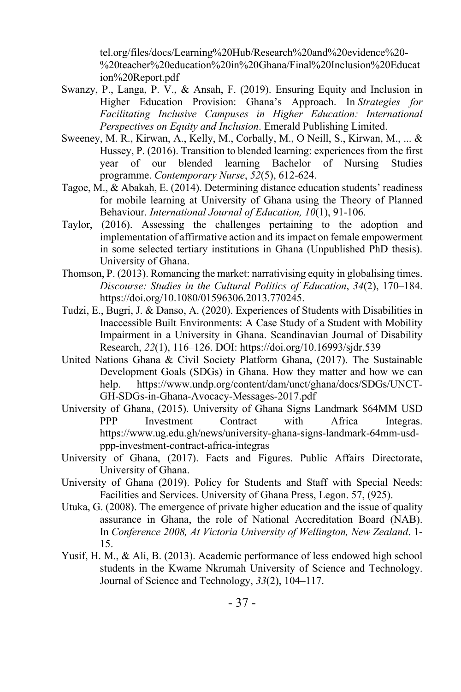tel.org/files/docs/Learning%20Hub/Research%20and%20evidence%20- %20teacher%20education%20in%20Ghana/Final%20Inclusion%20Educat ion%20Report.pdf

- Swanzy, P., Langa, P. V., & Ansah, F. (2019). Ensuring Equity and Inclusion in Higher Education Provision: Ghana's Approach. In *Strategies for Facilitating Inclusive Campuses in Higher Education: International Perspectives on Equity and Inclusion*. Emerald Publishing Limited.
- Sweeney, M. R., Kirwan, A., Kelly, M., Corbally, M., O Neill, S., Kirwan, M., ... & Hussey, P. (2016). Transition to blended learning: experiences from the first year of our blended learning Bachelor of Nursing Studies programme. *Contemporary Nurse*, *52*(5), 612-624.
- Tagoe, M., & Abakah, E. (2014). Determining distance education students' readiness for mobile learning at University of Ghana using the Theory of Planned Behaviour. *International Journal of Education, 10*(1), 91-106.
- Taylor, (2016). Assessing the challenges pertaining to the adoption and implementation of affirmative action and its impact on female empowerment in some selected tertiary institutions in Ghana (Unpublished PhD thesis). University of Ghana.
- Thomson, P. (2013). Romancing the market: narrativising equity in globalising times. *Discourse: Studies in the Cultural Politics of Education*, *34*(2), 170–184. https://doi.org/10.1080/01596306.2013.770245.
- Tudzi, E., Bugri, J. & Danso, A. (2020). Experiences of Students with Disabilities in Inaccessible Built Environments: A Case Study of a Student with Mobility Impairment in a University in Ghana. Scandinavian Journal of Disability Research, *22*(1), 116–126. DOI: https://doi.org/10.16993/sjdr.539
- United Nations Ghana & Civil Society Platform Ghana, (2017). The Sustainable Development Goals (SDGs) in Ghana. How they matter and how we can help. https://www.undp.org/content/dam/unct/ghana/docs/SDGs/UNCT-GH-SDGs-in-Ghana-Avocacy-Messages-2017.pdf
- University of Ghana, (2015). University of Ghana Signs Landmark \$64MM USD PPP Investment Contract with Africa Integras. https://www.ug.edu.gh/news/university-ghana-signs-landmark-64mm-usdppp-investment-contract-africa-integras
- University of Ghana, (2017). Facts and Figures. Public Affairs Directorate, University of Ghana.
- University of Ghana (2019). Policy for Students and Staff with Special Needs: Facilities and Services. University of Ghana Press, Legon. 57, (925).
- Utuka, G. (2008). The emergence of private higher education and the issue of quality assurance in Ghana, the role of National Accreditation Board (NAB). In *Conference 2008, At Victoria University of Wellington, New Zealand*. 1- 15.
- Yusif, H. M., & Ali, B. (2013). Academic performance of less endowed high school students in the Kwame Nkrumah University of Science and Technology. Journal of Science and Technology, *33*(2), 104–117.